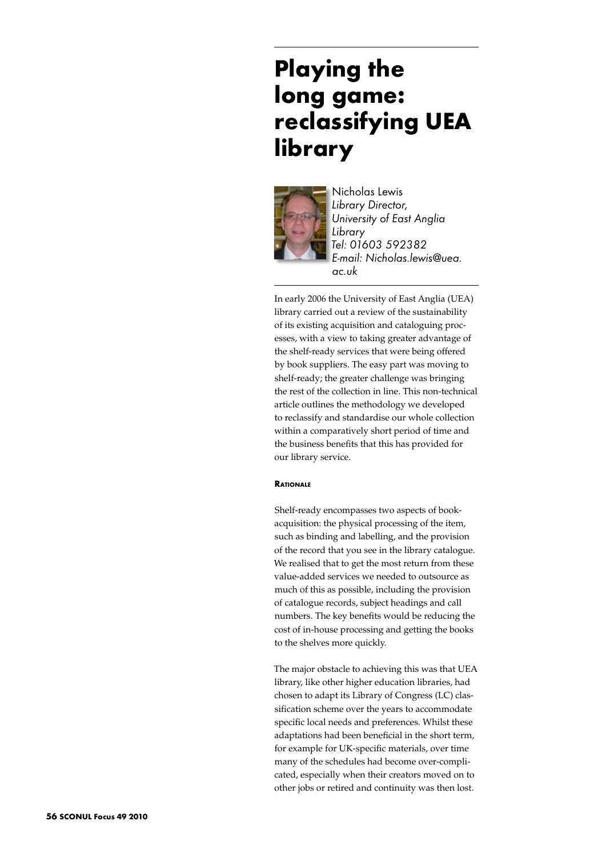# **Playing the long game: reclassifying UEA library**



Nicholas Lewis *Library Director, University of East Anglia Library Tel: 01603 592382 E-mail: Nicholas.lewis@uea. ac.uk* 

In early 2006 the University of East Anglia (UEA) library carried out a review of the sustainability of its existing acquisition and cataloguing processes, with a view to taking greater advantage of the shelf-ready services that were being offered by book suppliers. The easy part was moving to shelf-ready; the greater challenge was bringing the rest of the collection in line. This non-technical article outlines the methodology we developed to reclassify and standardise our whole collection within a comparatively short period of time and the business benefits that this has provided for our library service.

# **Rationale**

Shelf-ready encompasses two aspects of bookacquisition: the physical processing of the item, such as binding and labelling, and the provision of the record that you see in the library catalogue. We realised that to get the most return from these value-added services we needed to outsource as much of this as possible, including the provision of catalogue records, subject headings and call numbers. The key benefits would be reducing the cost of in-house processing and getting the books to the shelves more quickly.

The major obstacle to achieving this was that UEA library, like other higher education libraries, had chosen to adapt its Library of Congress (LC) classification scheme over the years to accommodate specific local needs and preferences. Whilst these adaptations had been beneficial in the short term, for example for UK-specific materials, over time many of the schedules had become over-complicated, especially when their creators moved on to other jobs or retired and continuity was then lost.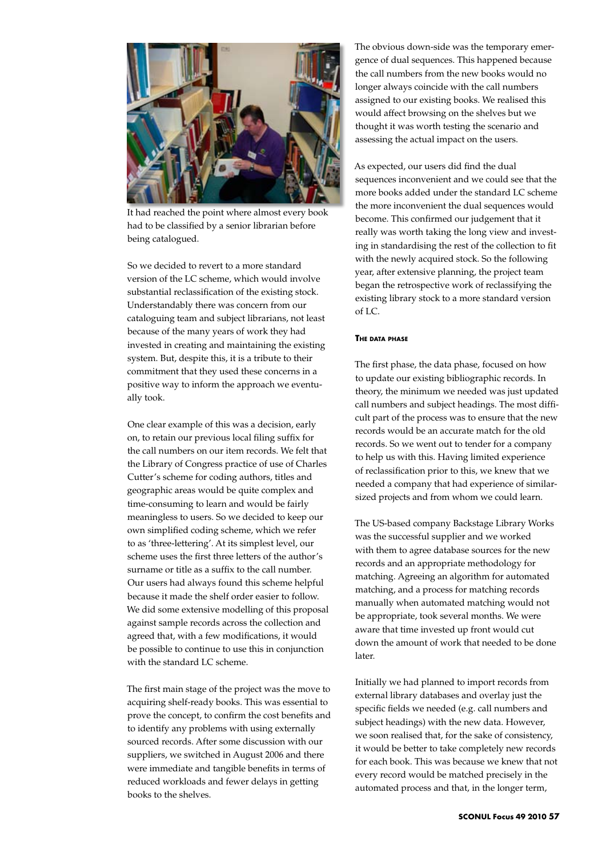

It had reached the point where almost every book had to be classified by a senior librarian before being catalogued.

So we decided to revert to a more standard version of the LC scheme, which would involve substantial reclassification of the existing stock. Understandably there was concern from our cataloguing team and subject librarians, not least because of the many years of work they had invested in creating and maintaining the existing system. But, despite this, it is a tribute to their commitment that they used these concerns in a positive way to inform the approach we eventually took.

One clear example of this was a decision, early on, to retain our previous local filing suffix for the call numbers on our item records. We felt that the Library of Congress practice of use of Charles Cutter's scheme for coding authors, titles and geographic areas would be quite complex and time-consuming to learn and would be fairly meaningless to users. So we decided to keep our own simplified coding scheme, which we refer to as 'three-lettering'. At its simplest level, our scheme uses the first three letters of the author's surname or title as a suffix to the call number. Our users had always found this scheme helpful because it made the shelf order easier to follow. We did some extensive modelling of this proposal against sample records across the collection and agreed that, with a few modifications, it would be possible to continue to use this in conjunction with the standard LC scheme.

The first main stage of the project was the move to acquiring shelf-ready books. This was essential to prove the concept, to confirm the cost benefits and to identify any problems with using externally sourced records. After some discussion with our suppliers, we switched in August 2006 and there were immediate and tangible benefits in terms of reduced workloads and fewer delays in getting books to the shelves.

The obvious down-side was the temporary emergence of dual sequences. This happened because the call numbers from the new books would no longer always coincide with the call numbers assigned to our existing books. We realised this would affect browsing on the shelves but we thought it was worth testing the scenario and assessing the actual impact on the users.

As expected, our users did find the dual sequences inconvenient and we could see that the more books added under the standard LC scheme the more inconvenient the dual sequences would become. This confirmed our judgement that it really was worth taking the long view and investing in standardising the rest of the collection to fit with the newly acquired stock. So the following year, after extensive planning, the project team began the retrospective work of reclassifying the existing library stock to a more standard version of LC.

# **The data phase**

The first phase, the data phase, focused on how to update our existing bibliographic records. In theory, the minimum we needed was just updated call numbers and subject headings. The most difficult part of the process was to ensure that the new records would be an accurate match for the old records. So we went out to tender for a company to help us with this. Having limited experience of reclassification prior to this, we knew that we needed a company that had experience of similarsized projects and from whom we could learn.

The US-based company Backstage Library Works was the successful supplier and we worked with them to agree database sources for the new records and an appropriate methodology for matching. Agreeing an algorithm for automated matching, and a process for matching records manually when automated matching would not be appropriate, took several months. We were aware that time invested up front would cut down the amount of work that needed to be done later.

Initially we had planned to import records from external library databases and overlay just the specific fields we needed (e.g. call numbers and subject headings) with the new data. However, we soon realised that, for the sake of consistency, it would be better to take completely new records for each book. This was because we knew that not every record would be matched precisely in the automated process and that, in the longer term,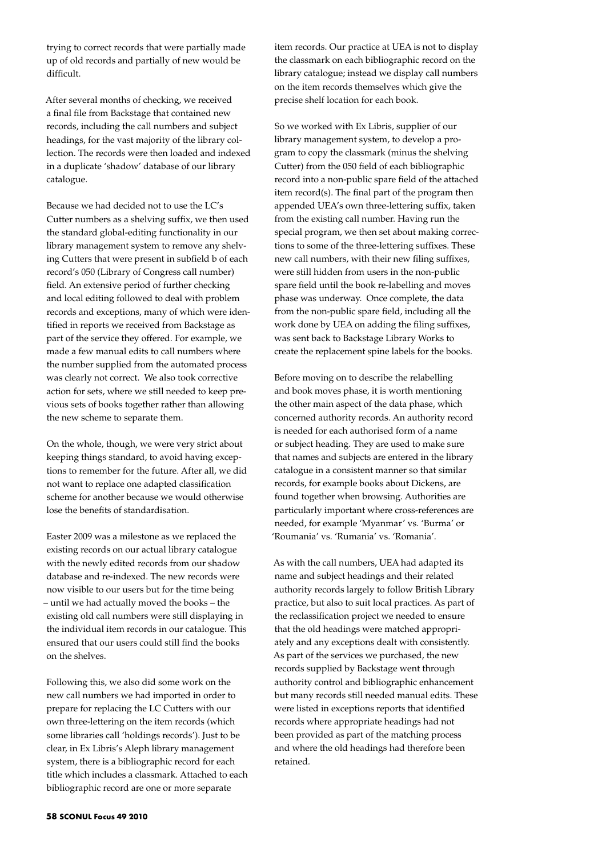trying to correct records that were partially made up of old records and partially of new would be difficult.

After several months of checking, we received a final file from Backstage that contained new records, including the call numbers and subject headings, for the vast majority of the library collection. The records were then loaded and indexed in a duplicate 'shadow' database of our library catalogue.

Because we had decided not to use the LC's Cutter numbers as a shelving suffix, we then used the standard global-editing functionality in our library management system to remove any shelving Cutters that were present in subfield b of each record's 050 (Library of Congress call number) field. An extensive period of further checking and local editing followed to deal with problem records and exceptions, many of which were identified in reports we received from Backstage as part of the service they offered. For example, we made a few manual edits to call numbers where the number supplied from the automated process was clearly not correct. We also took corrective action for sets, where we still needed to keep previous sets of books together rather than allowing the new scheme to separate them.

On the whole, though, we were very strict about keeping things standard, to avoid having exceptions to remember for the future. After all, we did not want to replace one adapted classification scheme for another because we would otherwise lose the benefits of standardisation.

Easter 2009 was a milestone as we replaced the existing records on our actual library catalogue with the newly edited records from our shadow database and re-indexed. The new records were now visible to our users but for the time being – until we had actually moved the books – the existing old call numbers were still displaying in the individual item records in our catalogue. This ensured that our users could still find the books on the shelves.

Following this, we also did some work on the new call numbers we had imported in order to prepare for replacing the LC Cutters with our own three-lettering on the item records (which some libraries call 'holdings records'). Just to be clear, in Ex Libris's Aleph library management system, there is a bibliographic record for each title which includes a classmark. Attached to each bibliographic record are one or more separate

item records. Our practice at UEA is not to display the classmark on each bibliographic record on the library catalogue; instead we display call numbers on the item records themselves which give the precise shelf location for each book.

So we worked with Ex Libris, supplier of our library management system, to develop a program to copy the classmark (minus the shelving Cutter) from the 050 field of each bibliographic record into a non-public spare field of the attached item record(s). The final part of the program then appended UEA's own three-lettering suffix, taken from the existing call number. Having run the special program, we then set about making corrections to some of the three-lettering suffixes. These new call numbers, with their new filing suffixes, were still hidden from users in the non-public spare field until the book re-labelling and moves phase was underway. Once complete, the data from the non-public spare field, including all the work done by UEA on adding the filing suffixes, was sent back to Backstage Library Works to create the replacement spine labels for the books.

Before moving on to describe the relabelling and book moves phase, it is worth mentioning the other main aspect of the data phase, which concerned authority records. An authority record is needed for each authorised form of a name or subject heading. They are used to make sure that names and subjects are entered in the library catalogue in a consistent manner so that similar records, for example books about Dickens, are found together when browsing. Authorities are particularly important where cross-references are needed, for example 'Myanmar' vs. 'Burma' or 'Roumania' vs. 'Rumania' vs. 'Romania'.

As with the call numbers, UEA had adapted its name and subject headings and their related authority records largely to follow British Library practice, but also to suit local practices. As part of the reclassification project we needed to ensure that the old headings were matched appropriately and any exceptions dealt with consistently. As part of the services we purchased, the new records supplied by Backstage went through authority control and bibliographic enhancement but many records still needed manual edits. These were listed in exceptions reports that identified records where appropriate headings had not been provided as part of the matching process and where the old headings had therefore been retained.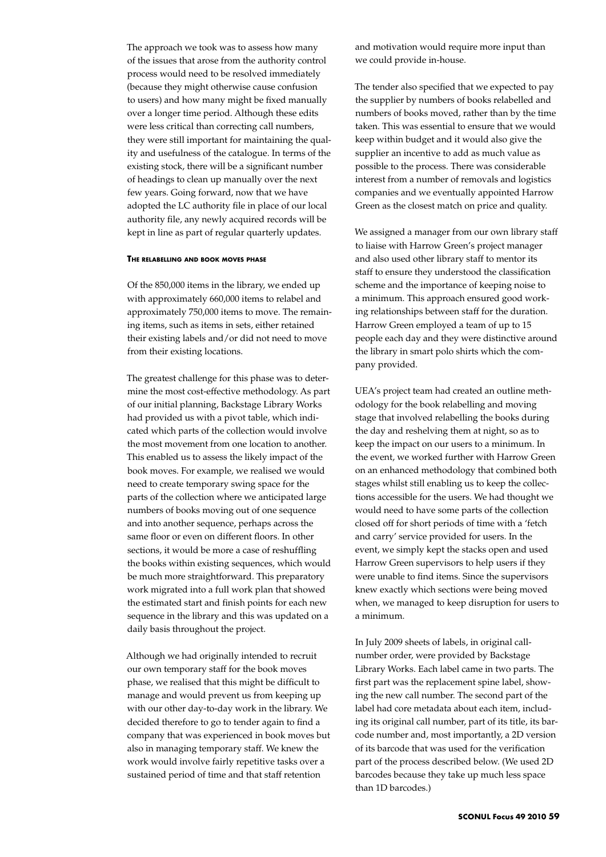The approach we took was to assess how many of the issues that arose from the authority control process would need to be resolved immediately (because they might otherwise cause confusion to users) and how many might be fixed manually over a longer time period. Although these edits were less critical than correcting call numbers, they were still important for maintaining the quality and usefulness of the catalogue. In terms of the existing stock, there will be a significant number of headings to clean up manually over the next few years. Going forward, now that we have adopted the LC authority file in place of our local authority file, any newly acquired records will be kept in line as part of regular quarterly updates.

#### **The relabelling and book moves phase**

Of the 850,000 items in the library, we ended up with approximately 660,000 items to relabel and approximately 750,000 items to move. The remaining items, such as items in sets, either retained their existing labels and/or did not need to move from their existing locations.

The greatest challenge for this phase was to determine the most cost-effective methodology. As part of our initial planning, Backstage Library Works had provided us with a pivot table, which indicated which parts of the collection would involve the most movement from one location to another. This enabled us to assess the likely impact of the book moves. For example, we realised we would need to create temporary swing space for the parts of the collection where we anticipated large numbers of books moving out of one sequence and into another sequence, perhaps across the same floor or even on different floors. In other sections, it would be more a case of reshuffling the books within existing sequences, which would be much more straightforward. This preparatory work migrated into a full work plan that showed the estimated start and finish points for each new sequence in the library and this was updated on a daily basis throughout the project.

Although we had originally intended to recruit our own temporary staff for the book moves phase, we realised that this might be difficult to manage and would prevent us from keeping up with our other day-to-day work in the library. We decided therefore to go to tender again to find a company that was experienced in book moves but also in managing temporary staff. We knew the work would involve fairly repetitive tasks over a sustained period of time and that staff retention

and motivation would require more input than we could provide in-house.

The tender also specified that we expected to pay the supplier by numbers of books relabelled and numbers of books moved, rather than by the time taken. This was essential to ensure that we would keep within budget and it would also give the supplier an incentive to add as much value as possible to the process. There was considerable interest from a number of removals and logistics companies and we eventually appointed Harrow Green as the closest match on price and quality.

We assigned a manager from our own library staff to liaise with Harrow Green's project manager and also used other library staff to mentor its staff to ensure they understood the classification scheme and the importance of keeping noise to a minimum. This approach ensured good working relationships between staff for the duration. Harrow Green employed a team of up to 15 people each day and they were distinctive around the library in smart polo shirts which the company provided.

UEA's project team had created an outline methodology for the book relabelling and moving stage that involved relabelling the books during the day and reshelving them at night, so as to keep the impact on our users to a minimum. In the event, we worked further with Harrow Green on an enhanced methodology that combined both stages whilst still enabling us to keep the collections accessible for the users. We had thought we would need to have some parts of the collection closed off for short periods of time with a 'fetch and carry' service provided for users. In the event, we simply kept the stacks open and used Harrow Green supervisors to help users if they were unable to find items. Since the supervisors knew exactly which sections were being moved when, we managed to keep disruption for users to a minimum.

In July 2009 sheets of labels, in original callnumber order, were provided by Backstage Library Works. Each label came in two parts. The first part was the replacement spine label, showing the new call number. The second part of the label had core metadata about each item, including its original call number, part of its title, its barcode number and, most importantly, a 2D version of its barcode that was used for the verification part of the process described below. (We used 2D barcodes because they take up much less space than 1D barcodes.)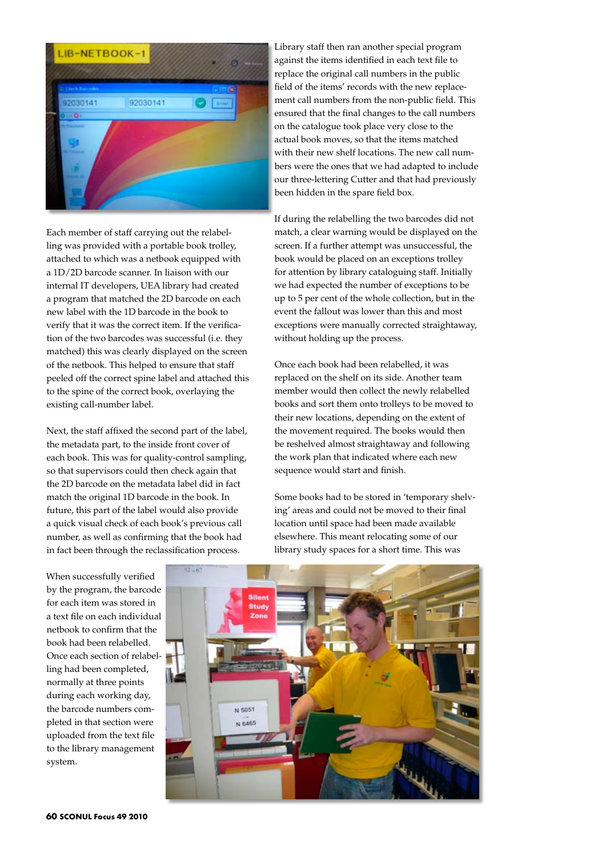

Each member of staff carrying out the relabelling was provided with a portable book trolley, attached to which was a netbook equipped with a 1D/2D barcode scanner. In liaison with our internal IT developers, UEA library had created a program that matched the 2D barcode on each new label with the 1D barcode in the book to verify that it was the correct item. If the verification of the two barcodes was successful (i.e. they matched) this was clearly displayed on the screen of the netbook. This helped to ensure that staff peeled off the correct spine label and attached this to the spine of the correct book, overlaying the existing call-number label.

Next, the staff affixed the second part of the label, the metadata part, to the inside front cover of each book. This was for quality-control sampling, so that supervisors could then check again that the 2D barcode on the metadata label did in fact match the original 1D barcode in the book. In future, this part of the label would also provide a quick visual check of each book's previous call number, as well as confirming that the book had in fact been through the reclassification process.

Library staff then ran another special program against the items identified in each text file to replace the original call numbers in the public field of the items' records with the new replacement call numbers from the non-public field. This ensured that the final changes to the call numbers on the catalogue took place very close to the actual book moves, so that the items matched with their new shelf locations. The new call numbers were the ones that we had adapted to include our three-lettering Cutter and that had previously been hidden in the spare field box.

If during the relabelling the two barcodes did not match, a clear warning would be displayed on the screen. If a further attempt was unsuccessful, the book would be placed on an exceptions trolley for attention by library cataloguing staff. Initially we had expected the number of exceptions to be up to 5 per cent of the whole collection, but in the event the fallout was lower than this and most exceptions were manually corrected straightaway, without holding up the process.

Once each book had been relabelled, it was replaced on the shelf on its side. Another team member would then collect the newly relabelled books and sort them onto trolleys to be moved to their new locations, depending on the extent of the movement required. The books would then be reshelved almost straightaway and following the work plan that indicated where each new sequence would start and finish.

Some books had to be stored in 'temporary shelving' areas and could not be moved to their final location until space had been made available elsewhere. This meant relocating some of our library study spaces for a short time. This was

When successfully verified by the program, the barcode for each item was stored in a text file on each individual netbook to confirm that the book had been relabelled. Once each section of relabelling had been completed, normally at three points during each working day, the barcode numbers completed in that section were uploaded from the text file to the library management system.

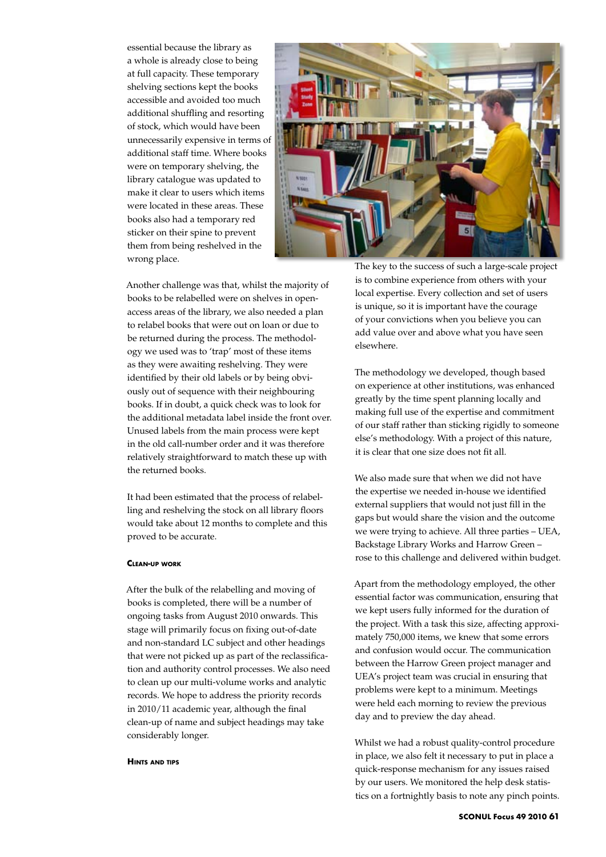essential because the library as a whole is already close to being at full capacity. These temporary shelving sections kept the books accessible and avoided too much additional shuffling and resorting of stock, which would have been unnecessarily expensive in terms of additional staff time. Where books were on temporary shelving, the library catalogue was updated to make it clear to users which items were located in these areas. These books also had a temporary red sticker on their spine to prevent them from being reshelved in the wrong place.



Another challenge was that, whilst the majority of books to be relabelled were on shelves in openaccess areas of the library, we also needed a plan to relabel books that were out on loan or due to be returned during the process. The methodology we used was to 'trap' most of these items as they were awaiting reshelving. They were identified by their old labels or by being obviously out of sequence with their neighbouring books. If in doubt, a quick check was to look for the additional metadata label inside the front over. Unused labels from the main process were kept in the old call-number order and it was therefore relatively straightforward to match these up with the returned books.

It had been estimated that the process of relabelling and reshelving the stock on all library floors would take about 12 months to complete and this proved to be accurate.

## **Clean-up work**

After the bulk of the relabelling and moving of books is completed, there will be a number of ongoing tasks from August 2010 onwards. This stage will primarily focus on fixing out-of-date and non-standard LC subject and other headings that were not picked up as part of the reclassification and authority control processes. We also need to clean up our multi-volume works and analytic records. We hope to address the priority records in 2010/11 academic year, although the final clean-up of name and subject headings may take considerably longer.

## **Hints and tips**

The key to the success of such a large-scale project is to combine experience from others with your local expertise. Every collection and set of users is unique, so it is important have the courage of your convictions when you believe you can add value over and above what you have seen elsewhere.

The methodology we developed, though based on experience at other institutions, was enhanced greatly by the time spent planning locally and making full use of the expertise and commitment of our staff rather than sticking rigidly to someone else's methodology. With a project of this nature, it is clear that one size does not fit all.

We also made sure that when we did not have the expertise we needed in-house we identified external suppliers that would not just fill in the gaps but would share the vision and the outcome we were trying to achieve. All three parties – UEA, Backstage Library Works and Harrow Green – rose to this challenge and delivered within budget.

Apart from the methodology employed, the other essential factor was communication, ensuring that we kept users fully informed for the duration of the project. With a task this size, affecting approximately 750,000 items, we knew that some errors and confusion would occur. The communication between the Harrow Green project manager and UEA's project team was crucial in ensuring that problems were kept to a minimum. Meetings were held each morning to review the previous day and to preview the day ahead.

Whilst we had a robust quality-control procedure in place, we also felt it necessary to put in place a quick-response mechanism for any issues raised by our users. We monitored the help desk statistics on a fortnightly basis to note any pinch points.